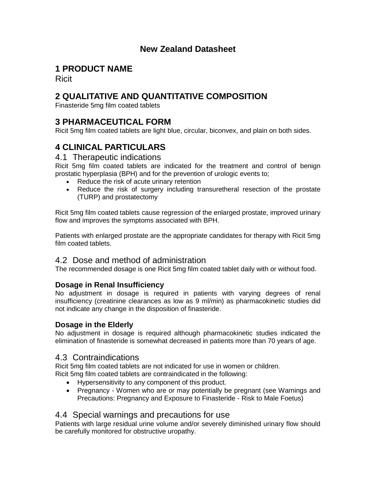## **New Zealand Datasheet**

# **1 PRODUCT NAME**

Ricit

# **2 QUALITATIVE AND QUANTITATIVE COMPOSITION**

Finasteride 5mg film coated tablets

## **3 PHARMACEUTICAL FORM**

Ricit 5mg film coated tablets are light blue, circular, biconvex, and plain on both sides.

# **4 CLINICAL PARTICULARS**

## 4.1 Therapeutic indications

Ricit 5mg film coated tablets are indicated for the treatment and control of benign prostatic hyperplasia (BPH) and for the prevention of urologic events to;

- Reduce the risk of acute urinary retention
- Reduce the risk of surgery including transuretheral resection of the prostate (TURP) and prostatectomy

Ricit 5mg film coated tablets cause regression of the enlarged prostate, improved urinary flow and improves the symptoms associated with BPH.

Patients with enlarged prostate are the appropriate candidates for therapy with Ricit 5mg film coated tablets.

## 4.2 Dose and method of administration

The recommended dosage is one Ricit 5mg film coated tablet daily with or without food.

### **Dosage in Renal Insufficiency**

No adjustment in dosage is required in patients with varying degrees of renal insufficiency (creatinine clearances as low as 9 ml/min) as pharmacokinetic studies did not indicate any change in the disposition of finasteride.

### **Dosage in the Elderly**

No adjustment in dosage is required although pharmacokinetic studies indicated the elimination of finasteride is somewhat decreased in patients more than 70 years of age.

## 4.3 Contraindications

Ricit 5mg film coated tablets are not indicated for use in women or children.

- Ricit 5mg film coated tablets are contraindicated in the following: • Hypersensitivity to any component of this product.
	- Pregnancy Women who are or may potentially be pregnant (see Warnings and Precautions: Pregnancy and Exposure to Finasteride - Risk to Male Foetus)

## 4.4 Special warnings and precautions for use

Patients with large residual urine volume and/or severely diminished urinary flow should be carefully monitored for obstructive uropathy.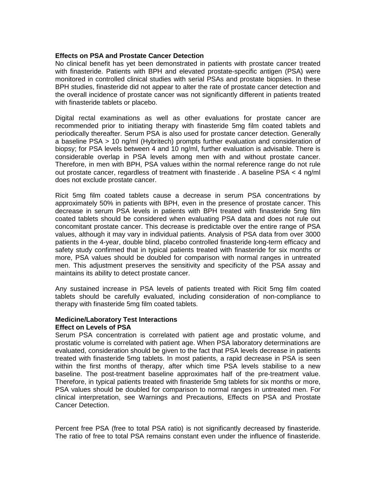#### **Effects on PSA and Prostate Cancer Detection**

No clinical benefit has yet been demonstrated in patients with prostate cancer treated with finasteride. Patients with BPH and elevated prostate-specific antigen (PSA) were monitored in controlled clinical studies with serial PSAs and prostate biopsies. In these BPH studies, finasteride did not appear to alter the rate of prostate cancer detection and the overall incidence of prostate cancer was not significantly different in patients treated with finasteride tablets or placebo.

Digital rectal examinations as well as other evaluations for prostate cancer are recommended prior to initiating therapy with finasteride 5mg film coated tablets and periodically thereafter. Serum PSA is also used for prostate cancer detection. Generally a baseline PSA > 10 ng/ml (Hybritech) prompts further evaluation and consideration of biopsy; for PSA levels between 4 and 10 ng/ml, further evaluation is advisable. There is considerable overlap in PSA levels among men with and without prostate cancer. Therefore, in men with BPH, PSA values within the normal reference range do not rule out prostate cancer, regardless of treatment with finasteride . A baseline PSA < 4 ng/ml does not exclude prostate cancer.

Ricit 5mg film coated tablets cause a decrease in serum PSA concentrations by approximately 50% in patients with BPH, even in the presence of prostate cancer. This decrease in serum PSA levels in patients with BPH treated with finasteride 5mg film coated tablets should be considered when evaluating PSA data and does not rule out concomitant prostate cancer. This decrease is predictable over the entire range of PSA values, although it may vary in individual patients. Analysis of PSA data from over 3000 patients in the 4-year, double blind, placebo controlled finasteride long-term efficacy and safety study confirmed that in typical patients treated with finasteride for six months or more, PSA values should be doubled for comparison with normal ranges in untreated men. This adjustment preserves the sensitivity and specificity of the PSA assay and maintains its ability to detect prostate cancer.

Any sustained increase in PSA levels of patients treated with Ricit 5mg film coated tablets should be carefully evaluated, including consideration of non-compliance to therapy with finasteride 5mg film coated tablets.

#### **Medicine/Laboratory Test Interactions Effect on Levels of PSA**

Serum PSA concentration is correlated with patient age and prostatic volume, and prostatic volume is correlated with patient age. When PSA laboratory determinations are evaluated, consideration should be given to the fact that PSA levels decrease in patients treated with finasteride 5mg tablets. In most patients, a rapid decrease in PSA is seen within the first months of therapy, after which time PSA levels stabilise to a new baseline. The post-treatment baseline approximates half of the pre-treatment value. Therefore, in typical patients treated with finasteride 5mg tablets for six months or more, PSA values should be doubled for comparison to normal ranges in untreated men. For clinical interpretation, see Warnings and Precautions, Effects on PSA and Prostate Cancer Detection.

Percent free PSA (free to total PSA ratio) is not significantly decreased by finasteride. The ratio of free to total PSA remains constant even under the influence of finasteride.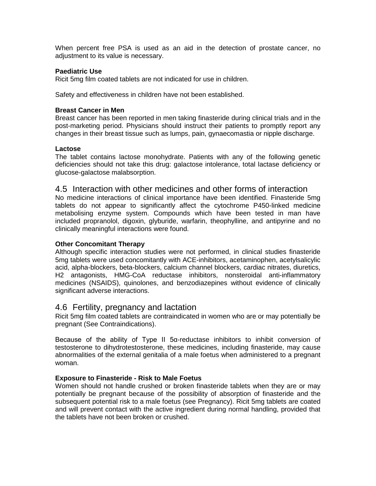When percent free PSA is used as an aid in the detection of prostate cancer, no adjustment to its value is necessary.

#### **Paediatric Use**

Ricit 5mg film coated tablets are not indicated for use in children.

Safety and effectiveness in children have not been established.

#### **Breast Cancer in Men**

Breast cancer has been reported in men taking finasteride during clinical trials and in the post-marketing period. Physicians should instruct their patients to promptly report any changes in their breast tissue such as lumps, pain, gynaecomastia or nipple discharge.

#### **Lactose**

The tablet contains lactose monohydrate. Patients with any of the following genetic deficiencies should not take this drug: galactose intolerance, total lactase deficiency or glucose-galactose malabsorption.

### 4.5 Interaction with other medicines and other forms of interaction

No medicine interactions of clinical importance have been identified. Finasteride 5mg tablets do not appear to significantly affect the cytochrome P450-linked medicine metabolising enzyme system. Compounds which have been tested in man have included propranolol, digoxin, glyburide, warfarin, theophylline, and antipyrine and no clinically meaningful interactions were found.

#### **Other Concomitant Therapy**

Although specific interaction studies were not performed, in clinical studies finasteride 5mg tablets were used concomitantly with ACE-inhibitors, acetaminophen, acetylsalicylic acid, alpha-blockers, beta-blockers, calcium channel blockers, cardiac nitrates, diuretics, H2 antagonists, HMG-CoA reductase inhibitors, nonsteroidal anti-inflammatory medicines (NSAIDS), quinolones, and benzodiazepines without evidence of clinically significant adverse interactions.

### 4.6 Fertility, pregnancy and lactation

Ricit 5mg film coated tablets are contraindicated in women who are or may potentially be pregnant (See Contraindications).

Because of the ability of Type II 5α-reductase inhibitors to inhibit conversion of testosterone to dihydrotestosterone, these medicines, including finasteride, may cause abnormalities of the external genitalia of a male foetus when administered to a pregnant woman.

#### **Exposure to Finasteride - Risk to Male Foetus**

Women should not handle crushed or broken finasteride tablets when they are or may potentially be pregnant because of the possibility of absorption of finasteride and the subsequent potential risk to a male foetus (see Pregnancy). Ricit 5mg tablets are coated and will prevent contact with the active ingredient during normal handling, provided that the tablets have not been broken or crushed.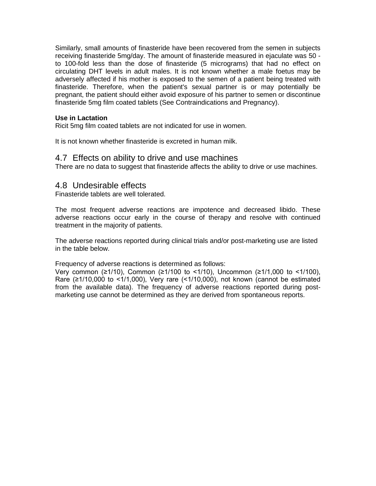Similarly, small amounts of finasteride have been recovered from the semen in subjects receiving finasteride 5mg/day. The amount of finasteride measured in ejaculate was 50 to 100-fold less than the dose of finasteride (5 micrograms) that had no effect on circulating DHT levels in adult males. It is not known whether a male foetus may be adversely affected if his mother is exposed to the semen of a patient being treated with finasteride. Therefore, when the patient's sexual partner is or may potentially be pregnant, the patient should either avoid exposure of his partner to semen or discontinue finasteride 5mg film coated tablets (See Contraindications and Pregnancy).

#### **Use in Lactation**

Ricit 5mg film coated tablets are not indicated for use in women.

It is not known whether finasteride is excreted in human milk.

#### 4.7 Effects on ability to drive and use machines

There are no data to suggest that finasteride affects the ability to drive or use machines.

## 4.8 Undesirable effects

Finasteride tablets are well tolerated.

The most frequent adverse reactions are impotence and decreased libido. These adverse reactions occur early in the course of therapy and resolve with continued treatment in the majority of patients.

The adverse reactions reported during clinical trials and/or post-marketing use are listed in the table below.

#### Frequency of adverse reactions is determined as follows:

Very common (≥1/10), Common (≥1/100 to <1/10), Uncommon (≥1/1,000 to <1/100), Rare (≥1/10,000 to <1/1,000), Very rare (<1/10,000), not known (cannot be estimated from the available data). The frequency of adverse reactions reported during postmarketing use cannot be determined as they are derived from spontaneous reports.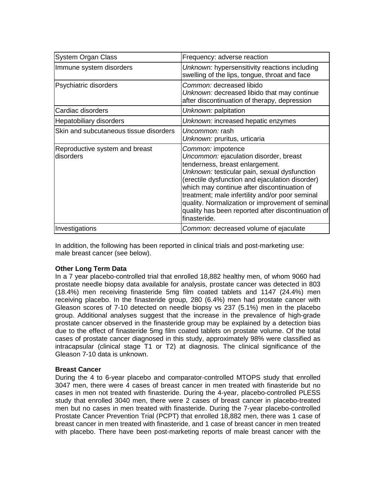| <b>System Organ Class</b>                   | Frequency: adverse reaction                                                                                                                                                                                                                                                                                                                                                                                                   |
|---------------------------------------------|-------------------------------------------------------------------------------------------------------------------------------------------------------------------------------------------------------------------------------------------------------------------------------------------------------------------------------------------------------------------------------------------------------------------------------|
| Immune system disorders                     | Unknown: hypersensitivity reactions including<br>swelling of the lips, tongue, throat and face                                                                                                                                                                                                                                                                                                                                |
| Psychiatric disorders                       | Common: decreased libido<br>Unknown: decreased libido that may continue<br>after discontinuation of therapy, depression                                                                                                                                                                                                                                                                                                       |
| Cardiac disorders                           | Unknown: palpitation                                                                                                                                                                                                                                                                                                                                                                                                          |
| <b>Hepatobiliary disorders</b>              | Unknown: increased hepatic enzymes                                                                                                                                                                                                                                                                                                                                                                                            |
| Skin and subcutaneous tissue disorders      | Uncommon: rash<br>Unknown: pruritus, urticaria                                                                                                                                                                                                                                                                                                                                                                                |
| Reproductive system and breast<br>disorders | Common: impotence<br>Uncommon: ejaculation disorder, breast<br>tenderness, breast enlargement.<br>Unknown: testicular pain, sexual dysfunction<br>(erectile dysfunction and ejaculation disorder)<br>which may continue after discontinuation of<br>treatment; male infertility and/or poor seminal<br>quality. Normalization or improvement of seminal<br>quality has been reported after discontinuation of<br>finasteride. |
| Investigations                              | Common: decreased volume of ejaculate                                                                                                                                                                                                                                                                                                                                                                                         |

In addition, the following has been reported in clinical trials and post-marketing use: male breast cancer (see below).

#### **Other Long Term Data**

In a 7 year placebo-controlled trial that enrolled 18,882 healthy men, of whom 9060 had prostate needle biopsy data available for analysis, prostate cancer was detected in 803 (18.4%) men receiving finasteride 5mg film coated tablets and 1147 (24.4%) men receiving placebo. In the finasteride group, 280 (6.4%) men had prostate cancer with Gleason scores of 7-10 detected on needle biopsy vs 237 (5.1%) men in the placebo group. Additional analyses suggest that the increase in the prevalence of high-grade prostate cancer observed in the finasteride group may be explained by a detection bias due to the effect of finasteride 5mg film coated tablets on prostate volume. Of the total cases of prostate cancer diagnosed in this study, approximately 98% were classified as intracapsular (clinical stage T1 or T2) at diagnosis. The clinical significance of the Gleason 7-10 data is unknown.

#### **Breast Cancer**

During the 4 to 6-year placebo and comparator-controlled MTOPS study that enrolled 3047 men, there were 4 cases of breast cancer in men treated with finasteride but no cases in men not treated with finasteride. During the 4-year, placebo-controlled PLESS study that enrolled 3040 men, there were 2 cases of breast cancer in placebo-treated men but no cases in men treated with finasteride. During the 7-year placebo-controlled Prostate Cancer Prevention Trial (PCPT) that enrolled 18,882 men, there was 1 case of breast cancer in men treated with finasteride, and 1 case of breast cancer in men treated with placebo. There have been post-marketing reports of male breast cancer with the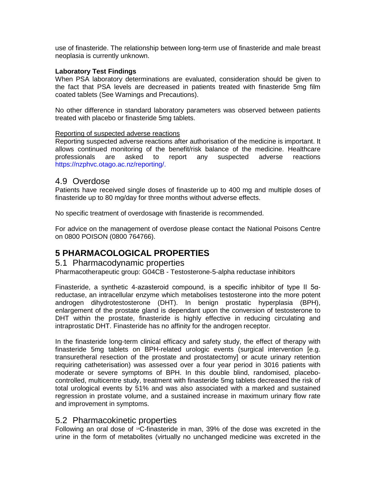use of finasteride. The relationship between long-term use of finasteride and male breast neoplasia is currently unknown.

#### **Laboratory Test Findings**

When PSA laboratory determinations are evaluated, consideration should be given to the fact that PSA levels are decreased in patients treated with finasteride 5mg film coated tablets (See Warnings and Precautions).

No other difference in standard laboratory parameters was observed between patients treated with placebo or finasteride 5mg tablets.

#### Reporting of suspected adverse reactions

Reporting suspected adverse reactions after authorisation of the medicine is important. It allows continued monitoring of the benefit/risk balance of the medicine. Healthcare professionals are asked to report any suspected adverse reactions https://nzphvc.otago.ac.nz/reporting/.

### 4.9 Overdose

Patients have received single doses of finasteride up to 400 mg and multiple doses of finasteride up to 80 mg/day for three months without adverse effects.

No specific treatment of overdosage with finasteride is recommended.

For advice on the management of overdose please contact the National Poisons Centre on 0800 POISON (0800 764766).

## **5 PHARMACOLOGICAL PROPERTIES**

### 5.1 Pharmacodynamic properties

Pharmacotherapeutic group: G04CB - [Testosterone-5-alpha reductase inhibitors](https://www.whocc.no/atc_ddd_index/?code=G04CB)

Finasteride, a synthetic 4-azasteroid compound, is a specific inhibitor of type II 5αreductase, an intracellular enzyme which metabolises testosterone into the more potent androgen dihydrotestosterone (DHT). In benign prostatic hyperplasia (BPH), enlargement of the prostate gland is dependant upon the conversion of testosterone to DHT within the prostate, finasteride is highly effective in reducing circulating and intraprostatic DHT. Finasteride has no affinity for the androgen receptor.

In the finasteride long-term clinical efficacy and safety study, the effect of therapy with finasteride 5mg tablets on BPH-related urologic events (surgical intervention [e.g. transuretheral resection of the prostate and prostatectomy] or acute urinary retention requiring catheterisation) was assessed over a four year period in 3016 patients with moderate or severe symptoms of BPH. In this double blind, randomised, placebocontrolled, multicentre study, treatment with finasteride 5mg tablets decreased the risk of total urological events by 51% and was also associated with a marked and sustained regression in prostate volume, and a sustained increase in maximum urinary flow rate and improvement in symptoms.

## 5.2 Pharmacokinetic properties

Following an oral dose of 14C-finasteride in man, 39% of the dose was excreted in the urine in the form of metabolites (virtually no unchanged medicine was excreted in the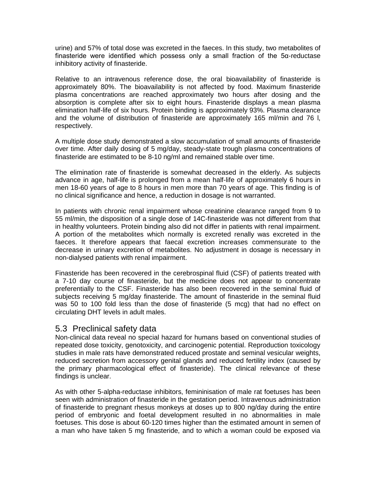urine) and 57% of total dose was excreted in the faeces. In this study, two metabolites of finasteride were identified which possess only a small fraction of the 5α-reductase inhibitory activity of finasteride.

Relative to an intravenous reference dose, the oral bioavailability of finasteride is approximately 80%. The bioavailability is not affected by food. Maximum finasteride plasma concentrations are reached approximately two hours after dosing and the absorption is complete after six to eight hours. Finasteride displays a mean plasma elimination half-life of six hours. Protein binding is approximately 93%. Plasma clearance and the volume of distribution of finasteride are approximately 165 ml/min and 76 l, respectively.

A multiple dose study demonstrated a slow accumulation of small amounts of finasteride over time. After daily dosing of 5 mg/day, steady-state trough plasma concentrations of finasteride are estimated to be 8-10 ng/ml and remained stable over time.

The elimination rate of finasteride is somewhat decreased in the elderly. As subjects advance in age, half-life is prolonged from a mean half-life of approximately 6 hours in men 18-60 years of age to 8 hours in men more than 70 years of age. This finding is of no clinical significance and hence, a reduction in dosage is not warranted.

In patients with chronic renal impairment whose creatinine clearance ranged from 9 to 55 ml/min, the disposition of a single dose of 14C-finasteride was not different from that in healthy volunteers. Protein binding also did not differ in patients with renal impairment. A portion of the metabolites which normally is excreted renally was excreted in the faeces. It therefore appears that faecal excretion increases commensurate to the decrease in urinary excretion of metabolites. No adjustment in dosage is necessary in non-dialysed patients with renal impairment.

Finasteride has been recovered in the cerebrospinal fluid (CSF) of patients treated with a 7-10 day course of finasteride, but the medicine does not appear to concentrate preferentially to the CSF. Finasteride has also been recovered in the seminal fluid of subjects receiving 5 mg/day finasteride. The amount of finasteride in the seminal fluid was 50 to 100 fold less than the dose of finasteride (5 mcg) that had no effect on circulating DHT levels in adult males.

## 5.3 Preclinical safety data

Non-clinical data reveal no special hazard for humans based on conventional studies of repeated dose toxicity, genotoxicity, and carcinogenic potential. Reproduction toxicology studies in male rats have demonstrated reduced prostate and seminal vesicular weights, reduced secretion from accessory genital glands and reduced fertility index (caused by the primary pharmacological effect of finasteride). The clinical relevance of these findings is unclear.

As with other 5-alpha-reductase inhibitors, femininisation of male rat foetuses has been seen with administration of finasteride in the gestation period. Intravenous administration of finasteride to pregnant rhesus monkeys at doses up to 800 ng/day during the entire period of embryonic and foetal development resulted in no abnormalities in male foetuses. This dose is about 60-120 times higher than the estimated amount in semen of a man who have taken 5 mg finasteride, and to which a woman could be exposed via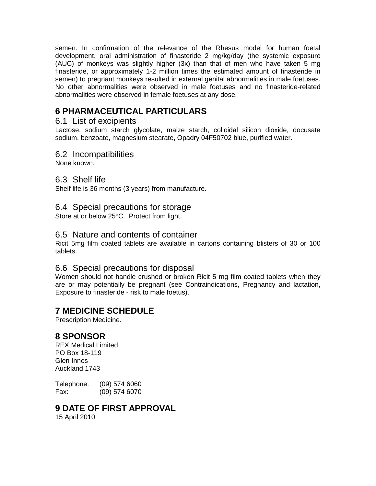semen. In confirmation of the relevance of the Rhesus model for human foetal development, oral administration of finasteride 2 mg/kg/day (the systemic exposure (AUC) of monkeys was slightly higher (3x) than that of men who have taken 5 mg finasteride, or approximately 1-2 million times the estimated amount of finasteride in semen) to pregnant monkeys resulted in external genital abnormalities in male foetuses. No other abnormalities were observed in male foetuses and no finasteride-related abnormalities were observed in female foetuses at any dose.

# **6 PHARMACEUTICAL PARTICULARS**

## 6.1 List of excipients

Lactose, sodium starch glycolate, maize starch, colloidal silicon dioxide, docusate sodium, benzoate, magnesium stearate, Opadry 04F50702 blue, purified water.

## 6.2 Incompatibilities

None known.

## 6.3 Shelf life

Shelf life is 36 months (3 years) from manufacture.

## 6.4 Special precautions for storage

Store at or below 25°C. Protect from light.

## 6.5 Nature and contents of container

Ricit 5mg film coated tablets are available in cartons containing blisters of 30 or 100 tablets.

## 6.6 Special precautions for disposal

Women should not handle crushed or broken Ricit 5 mg film coated tablets when they are or may potentially be pregnant (see Contraindications, Pregnancy and lactation, Exposure to finasteride - risk to male foetus).

## **7 MEDICINE SCHEDULE**

Prescription Medicine.

## **8 SPONSOR**

REX Medical Limited PO Box 18-119 Glen Innes Auckland 1743

Telephone: (09) 574 6060 Fax: (09) 574 6070

## **9 DATE OF FIRST APPROVAL**

15 April 2010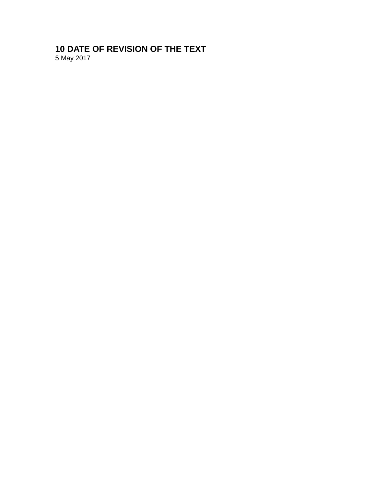# **10 DATE OF REVISION OF THE TEXT**

5 May 2017